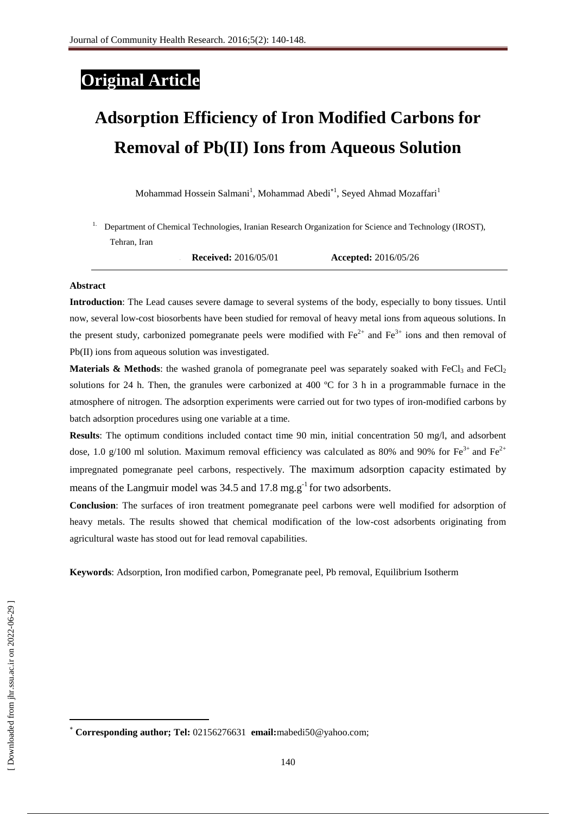# **Original Article**

# **Adsorption Efficiency of Iron Modified Carbons for Removal of Pb(II) Ions from Aqueous Solution**

Mohammad Hossein Salmani<sup>1</sup>, Mohammad Abedi<sup>\*1</sup>, Seyed Ahmad Mozaffari<sup>1</sup>

1. Department of Chemical Technologies, Iranian Research Organization for Science and Technology (IROST), Tehran, Iran

**2. Received:** 2016/05/01 **Accepted:** 2016/05/26

#### **Abstract**

**Introduction**: The Lead causes severe damage to several systems of the body, especially to bony tissues. Until now, several low-cost biosorbents have been studied for removal of heavy metal ions from aqueous solutions. In the present study, carbonized pomegranate peels were modified with  $Fe^{2+}$  and  $Fe^{3+}$  ions and then removal of Pb(II) ions from aqueous solution was investigated.

**Materials & Methods**: the washed granola of pomegranate peel was separately soaked with FeCl<sub>3</sub> and FeCl<sub>2</sub> solutions for 24 h. Then, the granules were carbonized at 400  $^{\circ}$ C for 3 h in a programmable furnace in the atmosphere of nitrogen. The adsorption experiments were carried out for two types of iron-modified carbons by batch adsorption procedures using one variable at a time.

**Results**: The optimum conditions included contact time 90 min, initial concentration 50 mg/l, and adsorbent dose, 1.0 g/100 ml solution. Maximum removal efficiency was calculated as 80% and 90% for  $Fe^{3+}$  and  $Fe^{2+}$ impregnated pomegranate peel carbons, respectively. The maximum adsorption capacity estimated by means of the Langmuir model was  $34.5$  and  $17.8$  mg.g<sup>-1</sup> for two adsorbents.

**Conclusion**: The surfaces of iron treatment pomegranate peel carbons were well modified for adsorption of heavy metals. The results showed that chemical modification of the low-cost adsorbents originating from agricultural waste has stood out for lead removal capabilities.

**Keywords**: Adsorption, Iron modified carbon, Pomegranate peel, Pb removal, Equilibrium Isotherm

1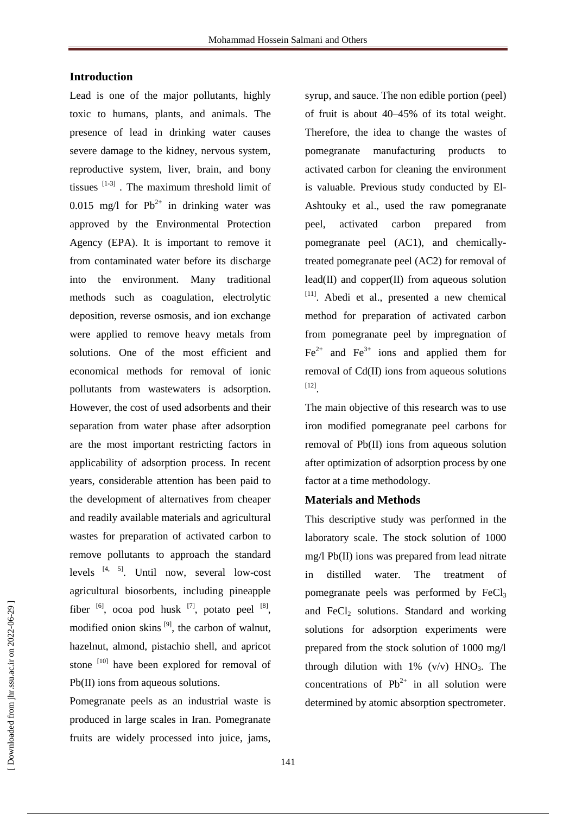# **Introduction**

Lead is one of the major pollutants, highly toxic to humans, plants, and animals. The presence of lead in drinking water causes severe damage to the kidney, nervous system, reproductive system, liver, brain, and bony tissues  $[1-3]$ . The maximum threshold limit of 0.015 mg/l for  $Pb^{2+}$  in drinking water was approved by the [Environmental Protection](http://www.eoearth.org/article/Environmental_Protection_Agency,_United_States)  [Agency \(EPA\).](http://www.eoearth.org/article/Environmental_Protection_Agency,_United_States) It is important to remove it from contaminated water before its discharge into the environment. Many traditional methods such as coagulation, electrolytic deposition, reverse osmosis, and ion exchange were applied to remove heavy metals from solutions. One of the most efficient and economical methods for removal of ionic pollutants from wastewaters is adsorption. However, the cost of used adsorbents and their separation from water phase after adsorption are the most important restricting factors in applicability of adsorption process. In recent years, considerable attention has been paid to the development of alternatives from cheaper and readily available materials and agricultural wastes for preparation of activated carbon to remove pollutants to approach the standard levels  $[4, 5]$ . Until now, several low-cost agricultural biosorbents, including pineapple fiber  $[6]$ , ocoa pod husk  $[7]$ , potato peel  $[8]$ , modified onion skins  $[9]$ , the carbon of walnut, hazelnut, almond, pistachio shell, and apricot stone<sup>[10]</sup> have been explored for removal of Pb(II) ions from aqueous solutions.

Pomegranate peels as an industrial waste is produced in large scales in Iran. Pomegranate fruits are widely processed into juice, jams, syrup, and sauce. The non edible portion (peel) of fruit is about 40–45% of its total weight. Therefore, the idea to change the wastes of pomegranate manufacturing products to activated carbon for cleaning the environment is valuable. Previous study conducted by El-Ashtouky et al., used the raw pomegranate peel, activated carbon prepared from pomegranate peel (AC1), and chemicallytreated pomegranate peel (AC2) for removal of lead(II) and copper(II) from aqueous solution [11]. Abedi et al., presented a new chemical method for preparation of activated carbon from pomegranate peel by impregnation of  $Fe<sup>2+</sup>$  and  $Fe<sup>3+</sup>$  ions and applied them for removal of Cd(II) ions from aqueous solutions [12] .

The main objective of this research was to use iron modified pomegranate peel carbons for removal of Pb(II) ions from aqueous solution after optimization of adsorption process by one factor at a time methodology.

# **Materials and Methods**

This descriptive study was performed in the laboratory scale. The stock solution of 1000 mg/l Pb(II) ions was prepared from lead nitrate in distilled water. The treatment of pomegranate peels was performed by  $FeCl<sub>3</sub>$ and FeCl<sub>2</sub> solutions. Standard and working solutions for adsorption experiments were prepared from the stock solution of 1000 mg/l through dilution with  $1\%$  (v/v)  $HNO<sub>3</sub>$ . The concentrations of  $Pb^{2+}$  in all solution were determined by atomic absorption spectrometer.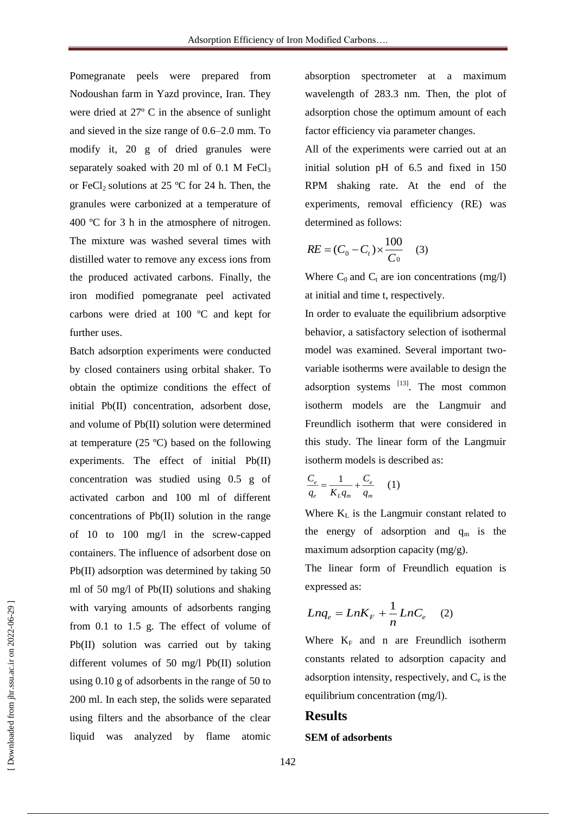Pomegranate peels were prepared from Nodoushan farm in Yazd province, Iran. They were dried at 27º C in the absence of sunlight and sieved in the size range of 0.6–2.0 mm. To modify it, 20 g of dried granules were separately soaked with 20 ml of  $0.1$  M FeCl<sub>3</sub> or FeCl<sub>2</sub> solutions at 25 °C for 24 h. Then, the granules were carbonized at a temperature of 400 ºC for 3 h in the atmosphere of nitrogen. The mixture was washed several times with distilled water to remove any excess ions from the produced activated carbons. Finally, the iron modified pomegranate peel activated carbons were dried at 100 ºC and kept for further uses.

Batch adsorption experiments were conducted by closed containers using orbital shaker. To obtain the optimize conditions the effect of initial Pb(II) concentration, adsorbent dose, and volume of Pb(II) solution were determined at temperature (25 ºC) based on the following experiments. The effect of initial Pb(II) concentration was studied using 0.5 g of activated carbon and 100 ml of different concentrations of Pb(II) solution in the range of 10 to 100 mg/l in the screw-capped containers. The influence of adsorbent dose on Pb(II) adsorption was determined by taking 50 ml of 50 mg/l of Pb(II) solutions and shaking with varying amounts of adsorbents ranging from 0.1 to 1.5 g. The effect of volume of Pb(II) solution was carried out by taking different volumes of 50 mg/l Pb(II) solution using 0.10 g of adsorbents in the range of 50 to 200 ml. In each step, the solids were separated using filters and the absorbance of the clear liquid was analyzed by flame atomic

absorption spectrometer at a maximum wavelength of 283.3 nm. Then, the plot of adsorption chose the optimum amount of each factor efficiency via parameter changes.

All of the experiments were carried out at an initial solution pH of 6.5 and fixed in 150 RPM shaking rate. At the end of the experiments, removal efficiency (RE) was determined as follows:

$$
RE = (C_0 - C_t) \times \frac{100}{C_0} \quad (3)
$$

Where  $C_0$  and  $C_t$  are ion concentrations (mg/l) at initial and time t, respectively.

In order to evaluate the equilibrium adsorptive behavior, a satisfactory selection of isothermal model was examined. Several important twovariable isotherms were available to design the adsorption systems [13]. The most common isotherm models are the Langmuir and Freundlich isotherm that were considered in this study. The linear form of the Langmuir isotherm models is described as:

$$
\frac{C_e}{q_e} = \frac{1}{K_L q_m} + \frac{C_e}{q_m} \qquad (1)
$$

Where  $K<sub>L</sub>$  is the Langmuir constant related to the energy of adsorption and  $q_m$  is the maximum adsorption capacity (mg/g).

The linear form of Freundlich equation is expressed as:

$$
Lnq_e = LnK_F + \frac{1}{n}LnC_e \quad (2)
$$

Where  $K_F$  and n are Freundlich isotherm constants related to adsorption capacity and adsorption intensity, respectively, and  $C_e$  is the equilibrium concentration (mg/l).

# **Results**

#### **SEM of adsorbents**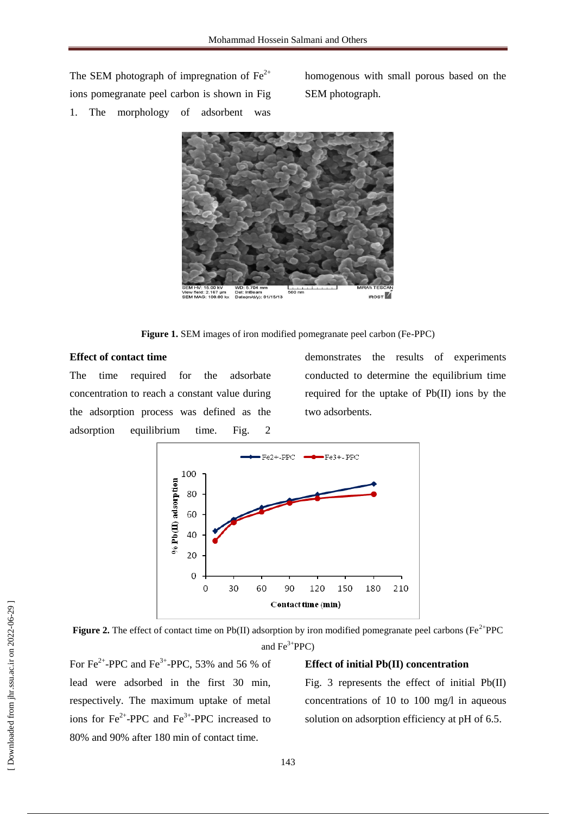The SEM photograph of impregnation of  $Fe<sup>2+</sup>$ ions pomegranate peel carbon is shown in Fig 1. The morphology of adsorbent was

homogenous with small porous based on the SEM photograph.



**Figure 1.** SEM images of iron modified pomegranate peel carbon (Fe-PPC)

# **Effect of contact time**

The time required for the adsorbate concentration to reach a constant value during the adsorption process was defined as the adsorption equilibrium time. Fig. 2

demonstrates the results of experiments conducted to determine the equilibrium time required for the uptake of Pb(II) ions by the two adsorbents.



**Figure 2.** The effect of contact time on Pb(II) adsorption by iron modified pomegranate peel carbons ( $Fe^{2+}PPC$ ) and  $Fe^{3+}PPC$ )

For  $Fe^{2+}$ -PPC and  $Fe^{3+}$ -PPC, 53% and 56 % of lead were adsorbed in the first 30 min, respectively. The maximum uptake of metal ions for  $Fe^{2+}$ -PPC and  $Fe^{3+}$ -PPC increased to 80% and 90% after 180 min of contact time.

#### **Effect of initial Pb(II) concentration**

Fig. 3 represents the effect of initial Pb(II) concentrations of 10 to 100 mg/l in aqueous solution on adsorption efficiency at pH of 6.5.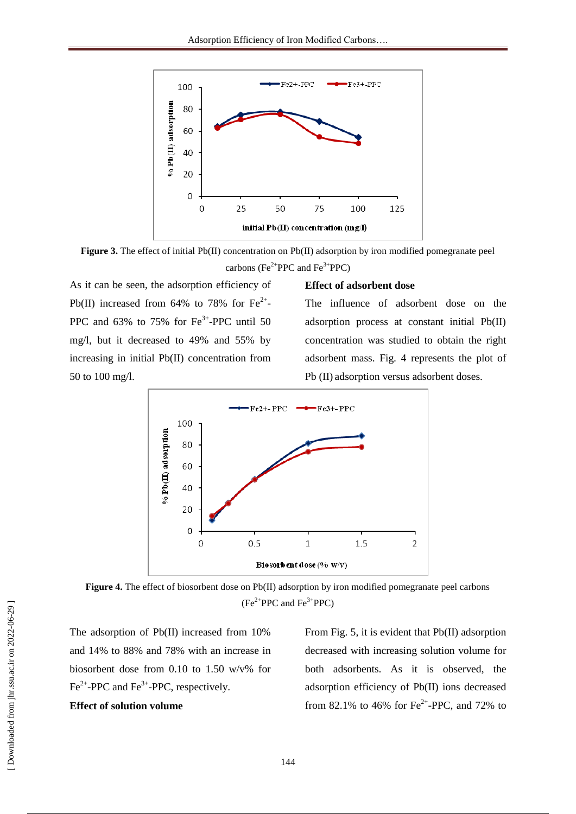

**Figure 3.** The effect of initial Pb(II) concentration on Pb(II) adsorption by iron modified pomegranate peel carbons (Fe<sup>2+</sup>PPC and Fe<sup>3+</sup>PPC)

As it can be seen, the adsorption efficiency of Pb(II) increased from 64% to 78% for  $Fe^{2+}$ -PPC and  $63\%$  to  $75\%$  for Fe<sup>3+</sup>-PPC until 50 mg/l, but it decreased to 49% and 55% by increasing in initial Pb(II) concentration from 50 to 100 mg/l.

#### **Effect of adsorbent dose**

The influence of adsorbent dose on the adsorption process at constant initial Pb(II) concentration was studied to obtain the right adsorbent mass. Fig. 4 represents the plot of Pb (II) adsorption versus adsorbent doses.



Figure 4. The effect of biosorbent dose on Pb(II) adsorption by iron modified pomegranate peel carbons  $(Fe<sup>2+</sup>PPC$  and  $Fe<sup>3+</sup>PPC)$ 

The adsorption of Pb(II) increased from 10% and 14% to 88% and 78% with an increase in biosorbent dose from 0.10 to 1.50 w/v% for  $Fe^{2+}$ -PPC and Fe<sup>3+</sup>-PPC, respectively.

# **Effect of solution volume**

From Fig. 5, it is evident that Pb(II) adsorption decreased with increasing solution volume for both adsorbents. As it is observed, the adsorption efficiency of Pb(II) ions decreased from 82.1% to 46% for  $Fe^{2+}$ -PPC, and 72% to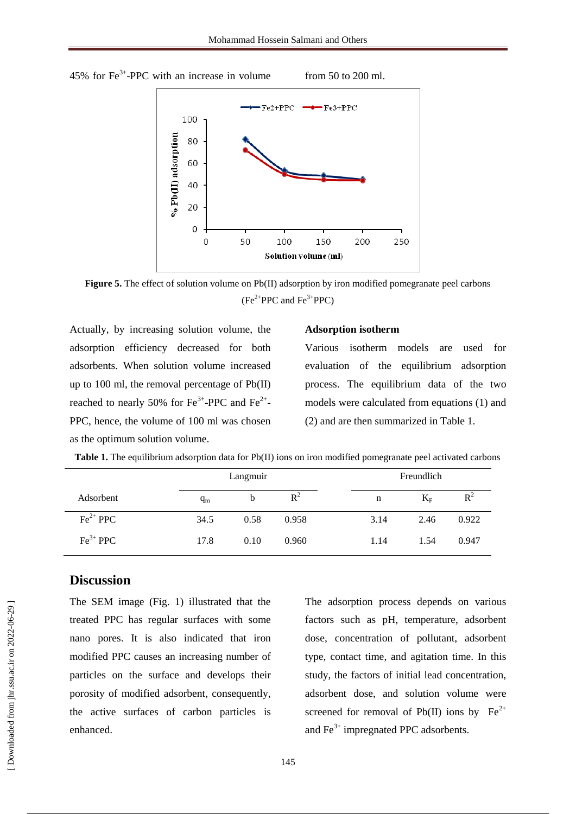45% for  $Fe^{3+}$ -PPC with an increase in volume from 50 to 200 ml.



**Figure 5.** The effect of solution volume on Pb(II) adsorption by iron modified pomegranate peel carbons  $(Fe<sup>2+</sup>PPC$  and  $Fe<sup>3+</sup>PPC)$ 

Actually, by increasing solution volume, the adsorption efficiency decreased for both adsorbents. When solution volume increased up to 100 ml, the removal percentage of Pb(II) reached to nearly 50% for  $Fe^{3+}$ -PPC and  $Fe^{2+}$ -PPC, hence, the volume of 100 ml was chosen as the optimum solution volume.

#### **Adsorption isotherm**

Various isotherm models are used for evaluation of the equilibrium adsorption process. The equilibrium data of the two models were calculated from equations (1) and (2) and are then summarized in Table 1.

|  |  |  |  |  |  |  |  |  | Table 1. The equilibrium adsorption data for Pb(II) ions on iron modified pomegranate peel activated carbons |  |  |
|--|--|--|--|--|--|--|--|--|--------------------------------------------------------------------------------------------------------------|--|--|
|--|--|--|--|--|--|--|--|--|--------------------------------------------------------------------------------------------------------------|--|--|

|                      |       | Langmuir |       |      | Freundlich |       |
|----------------------|-------|----------|-------|------|------------|-------|
| Adsorbent            | $q_m$ | b        | $R^2$ | n    | $K_F$      | $R^2$ |
| $\text{Fe}^{2+}$ PPC | 34.5  | 0.58     | 0.958 | 3.14 | 2.46       | 0.922 |
| $\text{Fe}^{3+}$ PPC | 17.8  | 0.10     | 0.960 | 1.14 | 1.54       | 0.947 |

# **Discussion**

The SEM image (Fig. 1) illustrated that the treated PPC has regular surfaces with some nano pores. It is also indicated that iron modified PPC causes an increasing number of particles on the surface and develops their porosity of modified adsorbent, consequently, the active surfaces of carbon particles is enhanced.

The adsorption process depends on various factors such as pH, temperature, adsorbent dose, concentration of pollutant, adsorbent type, contact time, and agitation time. In this study, the factors of initial lead concentration, adsorbent dose, and solution volume were screened for removal of Pb(II) ions by  $Fe^{2+}$ and  $Fe<sup>3+</sup>$  impregnated PPC adsorbents.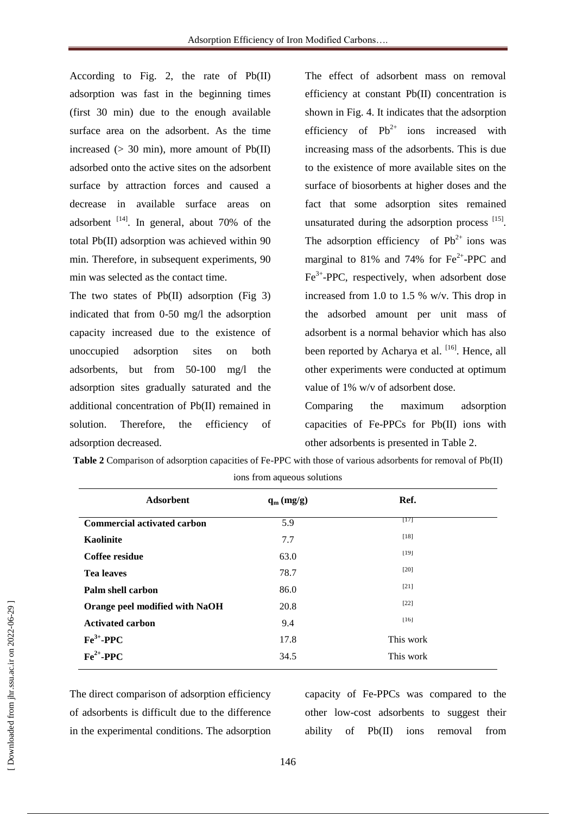According to Fig. 2, the rate of Pb(II) adsorption was fast in the beginning times (first 30 min) due to the enough available surface area on the adsorbent. As the time increased ( $>$  30 min), more amount of Pb(II) adsorbed onto the active sites on the adsorbent surface by attraction forces and caused a decrease in available surface areas on adsorbent  $^{[14]}$ . In general, about 70% of the total Pb(II) adsorption was achieved within 90 min. Therefore, in subsequent experiments, 90 min was selected as the contact time.

The two states of Pb(II) adsorption (Fig 3) indicated that from 0-50 mg/l the adsorption capacity increased due to the existence of unoccupied adsorption sites on both adsorbents, but from 50-100 mg/l the adsorption sites gradually saturated and the additional concentration of Pb(II) remained in solution. Therefore, the efficiency of adsorption decreased.

The effect of adsorbent mass on removal efficiency at constant Pb(II) concentration is shown in Fig. 4. It indicates that the adsorption efficiency of  $Pb^{2+}$  ions increased with increasing mass of the adsorbents. This is due to the existence of more available sites on the surface of biosorbents at higher doses and the fact that some adsorption sites remained unsaturated during the adsorption process  $[15]$ . The adsorption efficiency of  $Pb^{2+}$  ions was marginal to 81% and 74% for  $Fe^{2+}$ -PPC and Fe<sup>3+</sup>-PPC, respectively, when adsorbent dose increased from 1.0 to 1.5 % w/v. This drop in the adsorbed amount per unit mass of adsorbent is a normal behavior which has also been reported by Acharya et al. <sup>[16]</sup>. Hence, all other experiments were conducted at optimum value of 1% w/v of adsorbent dose.

Comparing the maximum adsorption capacities of Fe-PPCs for Pb(II) ions with other adsorbents is presented in Table 2.

|                                    | л.           |           |  |
|------------------------------------|--------------|-----------|--|
| <b>Adsorbent</b>                   | $q_m$ (mg/g) | Ref.      |  |
| <b>Commercial activated carbon</b> | 5.9          | $[17]$    |  |
| Kaolinite                          | 7.7          | $[18]$    |  |
| Coffee residue                     | 63.0         | $[19]$    |  |
| <b>Tea leaves</b>                  | 78.7         | [20]      |  |
| Palm shell carbon                  | 86.0         | $[21]$    |  |
| Orange peel modified with NaOH     | 20.8         | $[22]$    |  |
| <b>Activated carbon</b>            | 9.4          | $[16]$    |  |
| $Fe3+$ -PPC                        | 17.8         | This work |  |
| $Fe2+ - PPC$                       | 34.5         | This work |  |
|                                    |              |           |  |

**Table 2** Comparison of adsorption capacities of Fe-PPC with those of various adsorbents for removal of Pb(II) ions from aqueous solutions

The direct comparison of adsorption efficiency of adsorbents is difficult due to the difference in the experimental conditions. The adsorption

capacity of Fe-PPCs was compared to the other low-cost adsorbents to suggest their ability of Pb(II) ions removal from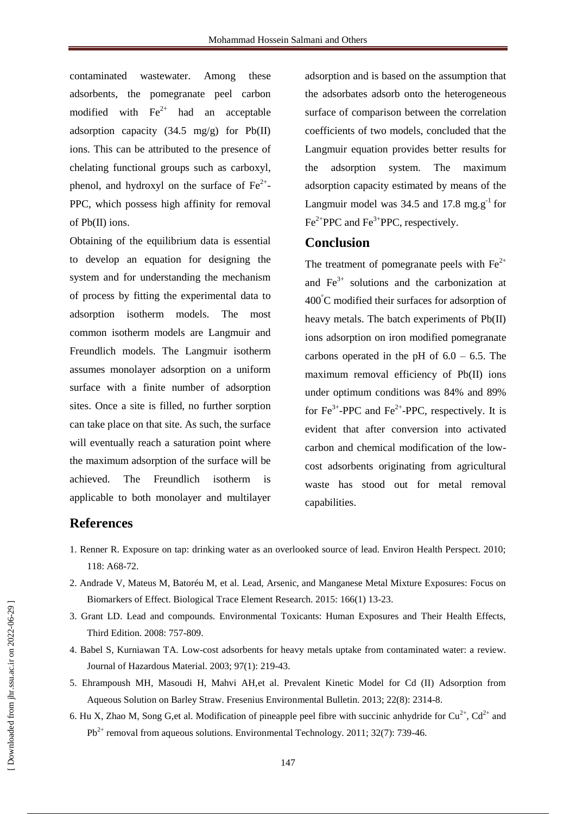contaminated wastewater. Among these adsorbents, the pomegranate peel carbon modified with  $\text{Fe}^{2+}$  had an acceptable adsorption capacity  $(34.5 \text{ mg/g})$  for Pb(II) ions. This can be attributed to the presence of chelating functional groups such as carboxyl, phenol, and hydroxyl on the surface of  $Fe^{2+}$ -PPC, which possess high affinity for removal of Pb(II) ions.

Obtaining of the equilibrium data is essential to develop an equation for designing the system and for understanding the mechanism of process by fitting the experimental data to adsorption isotherm models. The most common isotherm models are Langmuir and Freundlich models. The Langmuir isotherm assumes monolayer adsorption on a uniform surface with a finite number of adsorption sites. Once a site is filled, no further sorption can take place on that site. As such, the surface will eventually reach a saturation point where the maximum adsorption of the surface will be achieved. The Freundlich isotherm is applicable to both monolayer and multilayer adsorption and is based on the assumption that the adsorbates adsorb onto the heterogeneous surface of comparison between the correlation coefficients of two models, concluded that the Langmuir equation provides better results for the adsorption system. The maximum adsorption capacity estimated by means of the Langmuir model was 34.5 and 17.8 mg. $g^{-1}$  for  $Fe^{2+}PPC$  and  $Fe^{3+}PPC$ , respectively.

# **Conclusion**

The treatment of pomegranate peels with  $Fe<sup>2+</sup>$ and  $Fe<sup>3+</sup>$  solutions and the carbonization at 400°C modified their surfaces for adsorption of heavy metals. The batch experiments of Pb(II) ions adsorption on iron modified pomegranate carbons operated in the pH of  $6.0 - 6.5$ . The maximum removal efficiency of Pb(II) ions under optimum conditions was 84% and 89% for  $\text{Fe}^{3+}$ -PPC and  $\text{Fe}^{2+}$ -PPC, respectively. It is evident that after conversion into activated carbon and chemical modification of the lowcost adsorbents originating from agricultural waste has stood out for metal removal capabilities.

# **References**

- 1. Renner R. Exposure on tap: drinking water as an overlooked source of lead. Environ Health Perspect. 2010; 118: A68-72.
- 2. Andrade V, Mateus M, Batoréu M, et al. Lead, Arsenic, and Manganese Metal Mixture Exposures: Focus on Biomarkers of Effect. Biological Trace Element Research. 2015: 166(1) 13-23.
- 3. Grant LD. Lead and compounds. Environmental Toxicants: Human Exposures and Their Health Effects, Third Edition. 2008: 757-809.
- 4. Babel S, Kurniawan TA. Low-cost adsorbents for heavy metals uptake from contaminated water: a review. Journal of Hazardous Material. 2003; 97(1): 219-43.
- 5. Ehrampoush MH, Masoudi H, Mahvi AH,et al. Prevalent Kinetic Model for Cd (II) Adsorption from Aqueous Solution on Barley Straw. Fresenius Environmental Bulletin. 2013; 22(8): 2314-8.
- 6. Hu X, Zhao M, Song G,et al. Modification of pineapple peel fibre with succinic anhydride for  $Cu^{2+}$ ,  $Cd^{2+}$  and  $Pb^{2+}$  removal from aqueous solutions. Environmental Technology. 2011; 32(7): 739-46.